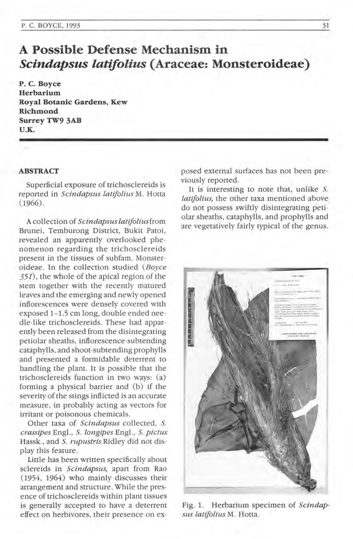# **A Possible Defense Mechanism in**  *Scindapsus latifolius* **(Araceae: Monsteroideae)**

**p. C. Boyce Herbarium Royal Botanic Gardens, Kew Richmond Surrey TW9 3AB U.K.** 

#### **ABSTRACT**

Superficial exposure of trichosclereids is reported in *Scindapsus latifolius* M. Hotta  $(1966)$ 

A collection of *Scindapsus tatiJolius* from Brunei, Temburong District, Bukit Patoi, revealed an apparently overlooked phe· nomenon regarding the trichosclereids present in the tissues of subfam. Monsteroideae . In the collection studied *(Boyce*  351), the whole of the apical region of the stem together with the recently matured leaves and the emerging and newly opened inflorescences were densely covered with exposed 1-1.5 cm long, double ended needle-like trichosclereids. These had apparently been released from the disintegrating pe tiolar sheaths, inflorescence-su btending catap hylls, and shoot-subtending prophylls and presented a formidable deterrent to handling the plant. It is possible that the trichosclereids function in two ways: (a) forming a physical barrier and (b) if the severity of the stings inflicted is an accurate measure, in probably acting as vectors for irritant or poisonous chemicals.

Other taxa of *Scindapsus* collected, S. *crassipes* Engl. , S. *tongzpes* Engl., S. *pictus*  Hassk., and *S. rupustris* Ridley did not display this feature.

Little has been written specifically about sclereids in *Scindapsus,* apart from Rao (1954, 1964) who mainly discusses their arrangement and structure. While the presence of trichosclereids within plant tissues is generally accepted to have a deterrent effect on herbivores, their presence on exposed external surfaces has not been previously reported.

It is interesting to note that, unlike S. *tatifolius,* the other taxa mentioned above do not possess swiftly disintegrating petiolar sheaths, cataphylls, and prophylls and are vegetatively fairly typical of the genus.



Fig. 1. Herbarium specimen of *Scindapsus latiJolius* M. Hotta.